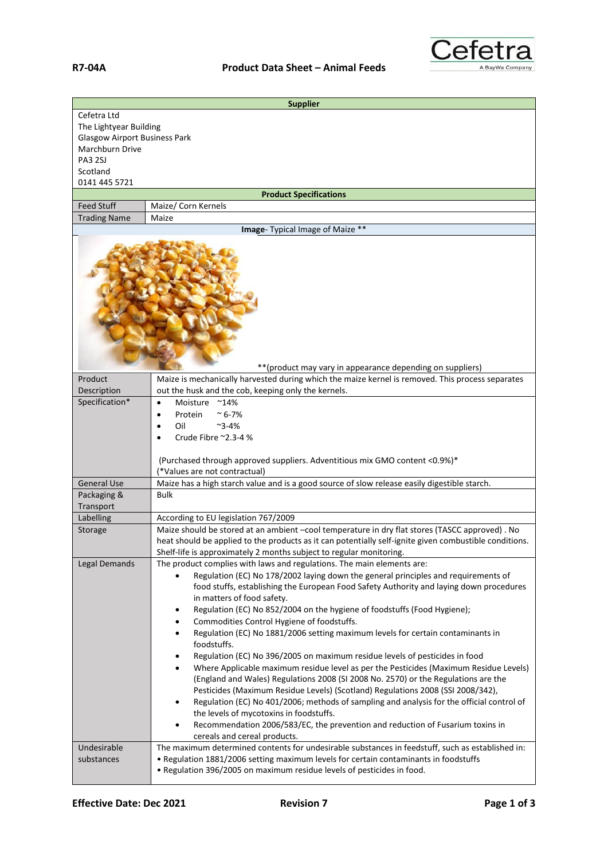

| <b>Supplier</b>                                                                                                                                 |                                                                                                                                                                                                                                                                                                                                                                                                                                                                                                                                                                                                                                                                                                                                                                                                                                                                                                                                                                                                                                                                                                                                                                                    |  |
|-------------------------------------------------------------------------------------------------------------------------------------------------|------------------------------------------------------------------------------------------------------------------------------------------------------------------------------------------------------------------------------------------------------------------------------------------------------------------------------------------------------------------------------------------------------------------------------------------------------------------------------------------------------------------------------------------------------------------------------------------------------------------------------------------------------------------------------------------------------------------------------------------------------------------------------------------------------------------------------------------------------------------------------------------------------------------------------------------------------------------------------------------------------------------------------------------------------------------------------------------------------------------------------------------------------------------------------------|--|
| Cefetra Ltd<br>The Lightyear Building<br><b>Glasgow Airport Business Park</b><br>Marchburn Drive<br><b>PA3 2SJ</b><br>Scotland<br>0141 445 5721 |                                                                                                                                                                                                                                                                                                                                                                                                                                                                                                                                                                                                                                                                                                                                                                                                                                                                                                                                                                                                                                                                                                                                                                                    |  |
| <b>Product Specifications</b>                                                                                                                   |                                                                                                                                                                                                                                                                                                                                                                                                                                                                                                                                                                                                                                                                                                                                                                                                                                                                                                                                                                                                                                                                                                                                                                                    |  |
| <b>Feed Stuff</b>                                                                                                                               | Maize/ Corn Kernels                                                                                                                                                                                                                                                                                                                                                                                                                                                                                                                                                                                                                                                                                                                                                                                                                                                                                                                                                                                                                                                                                                                                                                |  |
| <b>Trading Name</b>                                                                                                                             | Maize                                                                                                                                                                                                                                                                                                                                                                                                                                                                                                                                                                                                                                                                                                                                                                                                                                                                                                                                                                                                                                                                                                                                                                              |  |
| <b>Image</b> -Typical Image of Maize **                                                                                                         |                                                                                                                                                                                                                                                                                                                                                                                                                                                                                                                                                                                                                                                                                                                                                                                                                                                                                                                                                                                                                                                                                                                                                                                    |  |
| ** (product may vary in appearance depending on suppliers)                                                                                      |                                                                                                                                                                                                                                                                                                                                                                                                                                                                                                                                                                                                                                                                                                                                                                                                                                                                                                                                                                                                                                                                                                                                                                                    |  |
| Product                                                                                                                                         | Maize is mechanically harvested during which the maize kernel is removed. This process separates                                                                                                                                                                                                                                                                                                                                                                                                                                                                                                                                                                                                                                                                                                                                                                                                                                                                                                                                                                                                                                                                                   |  |
| Description<br>Specification*                                                                                                                   | out the husk and the cob, keeping only the kernels.<br>Moisture                                                                                                                                                                                                                                                                                                                                                                                                                                                                                                                                                                                                                                                                                                                                                                                                                                                                                                                                                                                                                                                                                                                    |  |
|                                                                                                                                                 | $^{\sim}$ 14%<br>Protein<br>$~^{\sim}$ 6-7%<br>Oil<br>$~2 - 4%$<br>Crude Fibre ~2.3-4 %<br>(Purchased through approved suppliers. Adventitious mix GMO content <0.9%)*<br>(*Values are not contractual)                                                                                                                                                                                                                                                                                                                                                                                                                                                                                                                                                                                                                                                                                                                                                                                                                                                                                                                                                                            |  |
| <b>General Use</b>                                                                                                                              | Maize has a high starch value and is a good source of slow release easily digestible starch.                                                                                                                                                                                                                                                                                                                                                                                                                                                                                                                                                                                                                                                                                                                                                                                                                                                                                                                                                                                                                                                                                       |  |
| Packaging &<br>Transport                                                                                                                        | <b>Bulk</b>                                                                                                                                                                                                                                                                                                                                                                                                                                                                                                                                                                                                                                                                                                                                                                                                                                                                                                                                                                                                                                                                                                                                                                        |  |
| Labelling                                                                                                                                       | According to EU legislation 767/2009                                                                                                                                                                                                                                                                                                                                                                                                                                                                                                                                                                                                                                                                                                                                                                                                                                                                                                                                                                                                                                                                                                                                               |  |
| Storage                                                                                                                                         | Maize should be stored at an ambient -cool temperature in dry flat stores (TASCC approved). No<br>heat should be applied to the products as it can potentially self-ignite given combustible conditions.<br>Shelf-life is approximately 2 months subject to regular monitoring.                                                                                                                                                                                                                                                                                                                                                                                                                                                                                                                                                                                                                                                                                                                                                                                                                                                                                                    |  |
| <b>Legal Demands</b>                                                                                                                            | The product complies with laws and regulations. The main elements are:<br>Regulation (EC) No 178/2002 laying down the general principles and requirements of<br>food stuffs, establishing the European Food Safety Authority and laying down procedures<br>in matters of food safety.<br>Regulation (EC) No 852/2004 on the hygiene of foodstuffs (Food Hygiene);<br>٠<br>Commodities Control Hygiene of foodstuffs.<br>$\bullet$<br>Regulation (EC) No 1881/2006 setting maximum levels for certain contaminants in<br>$\bullet$<br>foodstuffs.<br>Regulation (EC) No 396/2005 on maximum residue levels of pesticides in food<br>٠<br>Where Applicable maximum residue level as per the Pesticides (Maximum Residue Levels)<br>$\bullet$<br>(England and Wales) Regulations 2008 (SI 2008 No. 2570) or the Regulations are the<br>Pesticides (Maximum Residue Levels) (Scotland) Regulations 2008 (SSI 2008/342),<br>Regulation (EC) No 401/2006; methods of sampling and analysis for the official control of<br>٠<br>the levels of mycotoxins in foodstuffs.<br>Recommendation 2006/583/EC, the prevention and reduction of Fusarium toxins in<br>cereals and cereal products. |  |
| Undesirable<br>substances                                                                                                                       | The maximum determined contents for undesirable substances in feedstuff, such as established in:<br>. Regulation 1881/2006 setting maximum levels for certain contaminants in foodstuffs<br>. Regulation 396/2005 on maximum residue levels of pesticides in food.                                                                                                                                                                                                                                                                                                                                                                                                                                                                                                                                                                                                                                                                                                                                                                                                                                                                                                                 |  |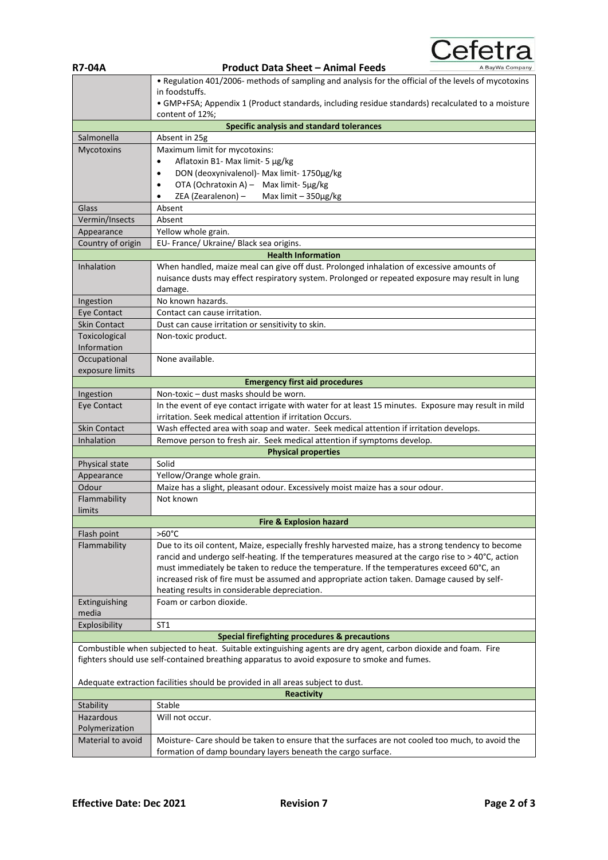**R7-04A Product Data Sheet – Animal Feeds** • Regulation 401/2006- methods of sampling and analysis for the official of the levels of mycotoxins in foodstuffs. • GMP+FSA; Appendix 1 (Product standards, including residue standards) recalculated to a moisture content of 12%; **Specific analysis and standard tolerances** Salmonella | Absent in 25g Mycotoxins Maximum limit for mycotoxins: • Aflatoxin B1- Max limit- 5 µg/kg • DON (deoxynivalenol)- Max limit- 1750µg/kg • OTA (Ochratoxin A) – Max limit- 5µg/kg • ZEA (Zearalenon) – Max limit – 350µg/kg Glass Absent Vermin/Insects Absent Appearance | Yellow whole grain. Country of origin EU- France/ Ukraine/ Black sea origins. **Health Information** Inhalation When handled, maize meal can give off dust. Prolonged inhalation of excessive amounts of nuisance dusts may effect respiratory system. Prolonged or repeated exposure may result in lung damage. Ingestion | No known hazards. Eye Contact  $\Box$  Contact can cause irritation. Skin Contact Dust can cause irritation or sensitivity to skin. Toxicological Information Non-toxic product. **Occupational** exposure limits None available. **Emergency first aid procedures** Ingestion Non-toxic – dust masks should be worn. Eye Contact In the event of eye contact irrigate with water for at least 15 minutes. Exposure may result in mild irritation. Seek medical attention if irritation Occurs. Skin Contact Wash effected area with soap and water. Seek medical attention if irritation develops. Inhalation Remove person to fresh air. Seek medical attention if symptoms develop **Physical properties** Physical state | Solid Appearance | Yellow/Orange whole grain. Odour Maize has a slight, pleasant odour. Excessively moist maize has a sour odour. Flammability limits Not known **Fire & Explosion hazard** Flash point >60°C Flammability Due to its oil content, Maize, especially freshly harvested maize, has a strong tendency to become rancid and undergo self-heating. If the temperatures measured at the cargo rise to > 40°C, action must immediately be taken to reduce the temperature. If the temperatures exceed 60°C, an increased risk of fire must be assumed and appropriate action taken. Damage caused by selfheating results in considerable depreciation. Extinguishing media Foam or carbon dioxide. Explosibility | ST1 **Special firefighting procedures & precautions** Combustible when subjected to heat. Suitable extinguishing agents are dry agent, carbon dioxide and foam. Fire fighters should use self-contained breathing apparatus to avoid exposure to smoke and fumes. Adequate extraction facilities should be provided in all areas subject to dust. **Reactivity** Stability | Stable Hazardous Polymerization Will not occur. Material to avoid | Moisture- Care should be taken to ensure that the surfaces are not cooled too much, to avoid the formation of damp boundary layers beneath the cargo surface.